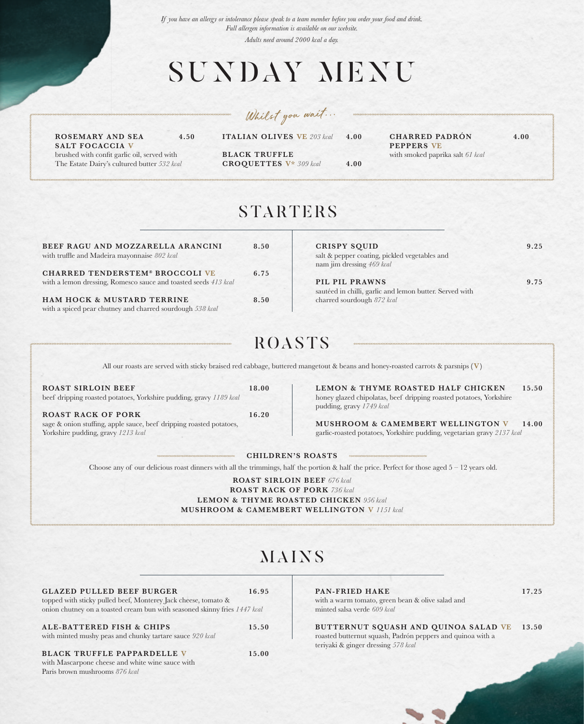*If you have an allergy or intolerance please speak to a team member before you order your food and drink. Full allergen information is available on our website.* 

*Adults need around 2000 kcal a day.*

# SUNDAY MENU

*Whilst you wait...*

**ROSEMARY AND SEA 4.50 SALT FOCACCIA V** brushed with confit garlic oil, served with The Estate Dairy's cultured butter *532 kcal*

**ITALIAN OLIVES VE** *203 kcal* **4.00**

**BLACK TRUFFLE CROQUETTES V\*** *309 kcal* **4.00** **CHARRED PADRÓN 4.00 PEPPERS VE**

with smoked paprika salt *61 kcal*

| <b>STARTERS</b> |  |  |
|-----------------|--|--|
|                 |  |  |
|                 |  |  |

| BEEF RAGU AND MOZZARELLA ARANCINI<br>with truffle and Madeira mayonnaise 802 kcal                         | 8.50 |
|-----------------------------------------------------------------------------------------------------------|------|
| <b>CHARRED TENDERSTEM® BROCCOLI VE</b><br>with a lemon dressing, Romesco sauce and toasted seeds 413 kcal | 6.75 |
| HAM HOCK & MUSTARD TERRINE<br>with a spiced pear chutney and charred sourdough 538 kcal                   | 8.50 |

| <b>CRISPY SQUID</b>                                     | 9.25 |
|---------------------------------------------------------|------|
| salt & pepper coating, pickled vegetables and           |      |
| nam jim dressing 469 kcal                               |      |
| PIL PIL PRAWNS                                          | 9.75 |
| sautéed in chilli, garlic and lemon butter. Served with |      |
| charred sourdough 872 kcal                              |      |

## ROASTS

All our roasts are served with sticky braised red cabbage, buttered mangetout & beans and honey-roasted carrots & parsnips **(V)**

**ROAST SIRLOIN BEEF 18.00** beef dripping roasted potatoes, Yorkshire pudding, gravy *1189 kcal* **ROAST RACK OF PORK 16.20**

sage & onion stuffing, apple sauce, beef dripping roasted potatoes,

Yorkshire pudding, gravy *1213 kcal*

**LEMON & THYME ROASTED HALF CHICKEN 15.50** honey glazed chipolatas, beef dripping roasted potatoes, Yorkshire pudding, gravy *1749 kcal*

**MUSHROOM & CAMEMBERT WELLINGTON V 14.00** garlic-roasted potatoes, Yorkshire pudding, vegetarian gravy *2137 kcal*

**CHILDREN'S ROASTS**

Choose any of our delicious roast dinners with all the trimmings, half the portion & half the price. Perfect for those aged  $5 - 12$  years old.

**ROAST SIRLOIN BEEF** *676 kcal*

**ROAST RACK OF PORK** *736 kcal* **LEMON & THYME ROASTED CHICKEN** *956 kcal* **MUSHROOM & CAMEMBERT WELLINGTON V** *1151 kcal*

# MAINS

| <b>GLAZED PULLED BEEF BURGER</b>                                          | 16.95 |
|---------------------------------------------------------------------------|-------|
| topped with sticky pulled beef, Monterey Jack cheese, tomato &            |       |
| onion chutney on a toasted cream bun with seasoned skinny fries 1447 kcal |       |
| <b>ALE-BATTERED FISH &amp; CHIPS</b>                                      | 15.50 |
|                                                                           |       |
| with minted mushy peas and chunky tartare sauce 920 kcal                  |       |

### **BLACK TRUFFLE PAPPARDELLE V** 15.00

with Mascarpone cheese and white wine sauce with Paris brown mushrooms *876 kcal*

#### **PAN-FRIED HAKE 17.25**

with a warm tomato, green bean & olive salad and minted salsa verde *609 kcal*

**BUTTERNUT SQUASH AND QUINOA SALAD VE 13.50** roasted butternut squash, Padrón peppers and quinoa with a teriyaki & ginger dressing *578 kcal*